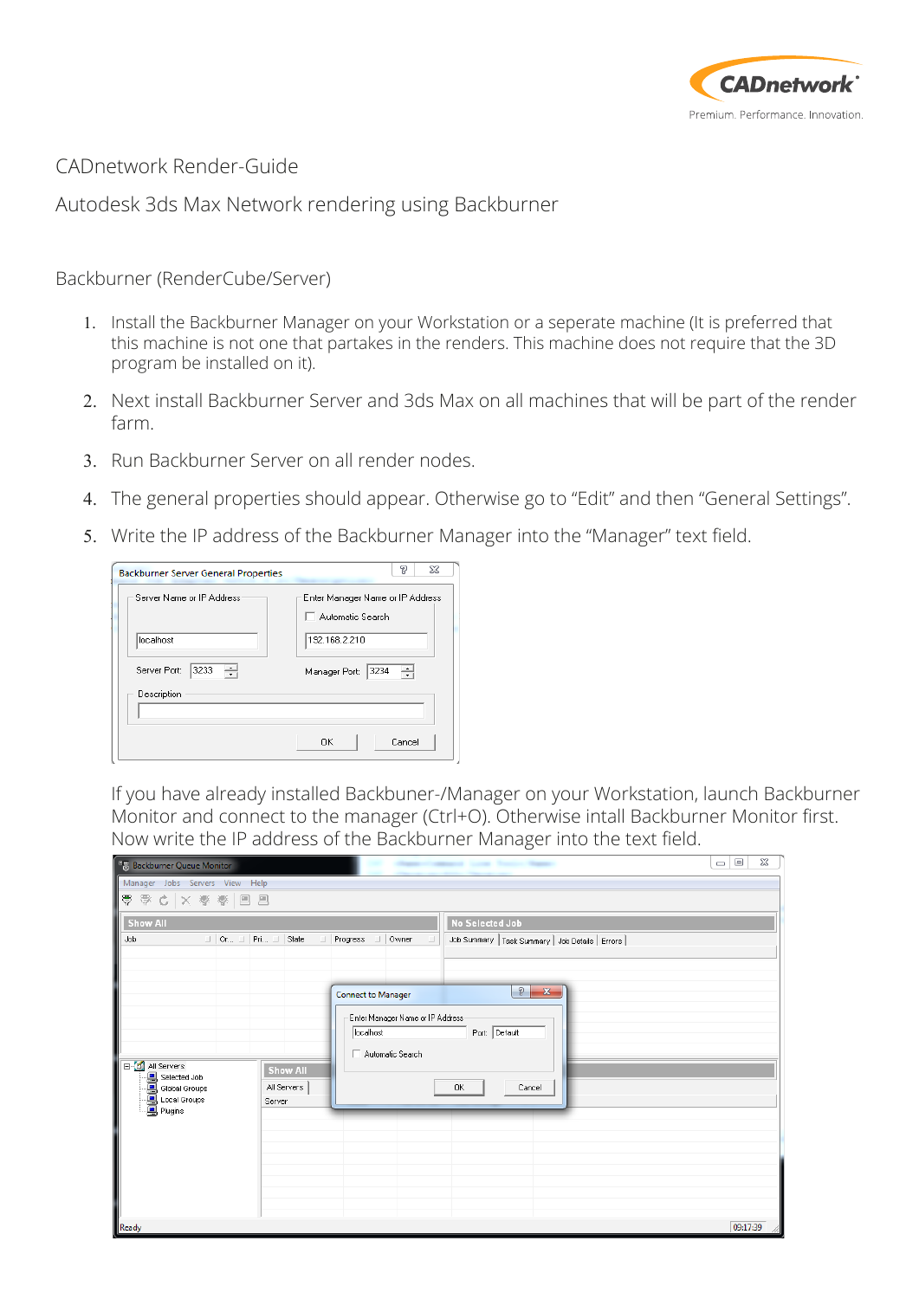

CADnetwork Render-Guide

Autodesk 3ds Max Network rendering using Backburner

Backburner (RenderCube/Server)

- 1. Install the Backburner Manager on your Workstation or a seperate machine (It is preferred that this machine is not one that partakes in the renders. This machine does not require that the 3D program be installed on it).
- 2. Next install Backburner Server and 3ds Max on all machines that will be part of the render farm.
- 3. Run Backburner Server on all render nodes.
- 4. The general properties should appear. Otherwise go to "Edit" and then "General Settings".
- 5. Write the IP address of the Backburner Manager into the "Manager" text field.

| <b>Backburner Server General Properties</b> | P<br>X                                                                        |  |  |  |
|---------------------------------------------|-------------------------------------------------------------------------------|--|--|--|
| Server Name or IP Address                   | Enter Manager Name or IP Address<br>$\overline{\phantom{x}}$ Automatic Search |  |  |  |
| localhost                                   | 192.168.2.210                                                                 |  |  |  |
| 3233<br>Server Port:<br>싂                   | ÷<br>3234<br>Manager Port:                                                    |  |  |  |
| Description                                 |                                                                               |  |  |  |
|                                             | <b>OK</b><br>Cancel                                                           |  |  |  |

If you have already installed Backbuner-/Manager on your Workstation, launch Backburner Monitor and connect to the manager (Ctrl+O). Otherwise intall Backburner Monitor first. Now write the IP address of the Backburner Manager into the text field.

| <b>State State Course</b><br><sup>o</sup> Backburner Queue Monitor                                                                                                                                                                                                                    | ▣<br>$\qquad \qquad \blacksquare$ | 23       |
|---------------------------------------------------------------------------------------------------------------------------------------------------------------------------------------------------------------------------------------------------------------------------------------|-----------------------------------|----------|
| Manager Jobs Servers View Help                                                                                                                                                                                                                                                        |                                   |          |
| ■■ 夢春× ちゃ ▼                                                                                                                                                                                                                                                                           |                                   |          |
| <b>Show All</b><br><b>No Selected Job</b>                                                                                                                                                                                                                                             |                                   |          |
| Job<br>$\Box$ Or $\Box$ Pri $\Box$ State<br>□ Progress □ Owner<br>Job Summary   Task Summary   Job Details   Errors  <br>$\Box$                                                                                                                                                       |                                   |          |
|                                                                                                                                                                                                                                                                                       |                                   |          |
| $\mathcal{D}$<br>$\mathbf{x}$<br><b>Connect to Manager</b>                                                                                                                                                                                                                            |                                   |          |
| Enter Manager Name or IP Address<br>Port: Default<br>localhost<br>Automatic Search<br>日 <mark>1</mark> All Servers<br><b>Show All</b><br><b>a</b><br><b>a</b> Selected Job<br><b>a</b> Global Groups<br><b>a</b> Plugins<br><b>A</b> Plugins<br>All Servers<br>0K<br>Cancel<br>Server |                                   |          |
| Ready                                                                                                                                                                                                                                                                                 |                                   | 09:17:39 |